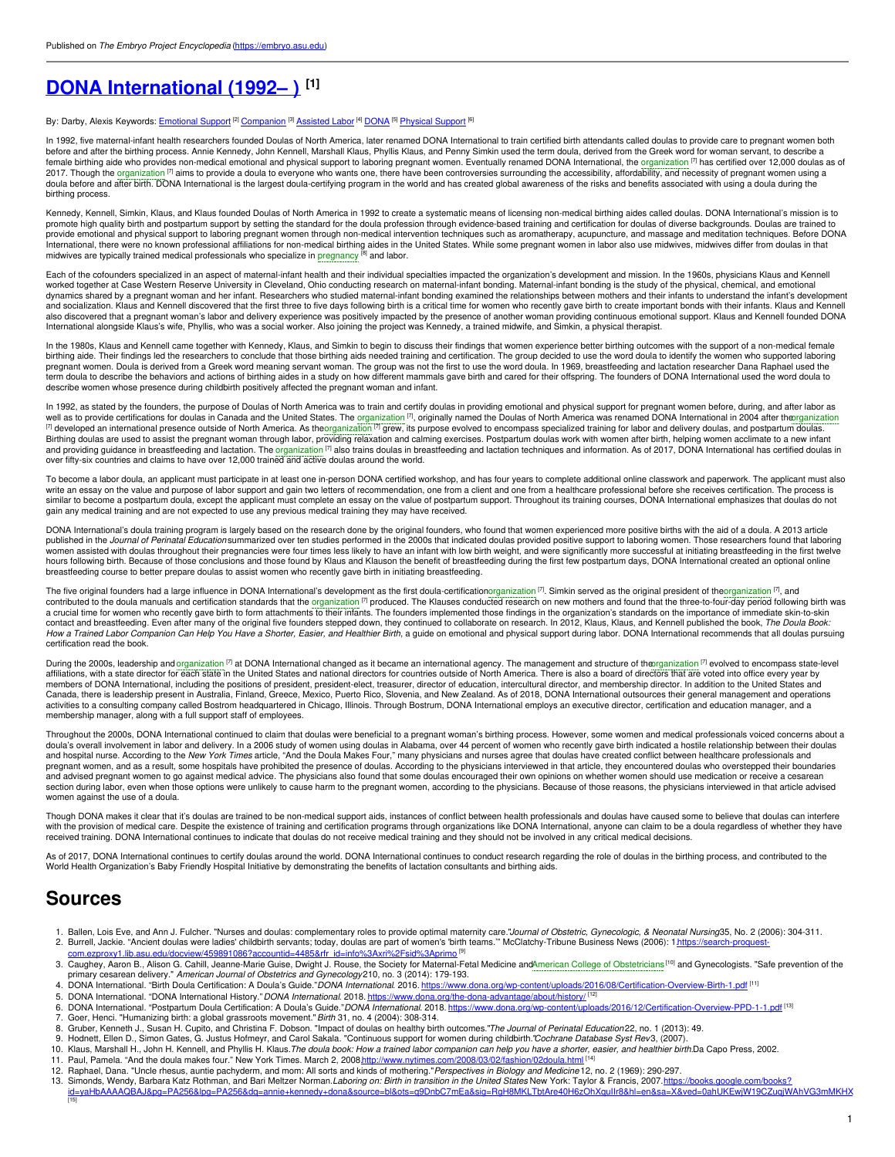# **DONA [International](https://embryo.asu.edu/pages/dona-international-1992) (1992– ) [1]**

By: Darby, Alexis Keywords: <u>[Emotional](https://embryo.asu.edu/keywords/emotional-support) Support</u> <sup>[2]</sup> [Companion](https://embryo.asu.edu/keywords/companion) <sup>[3]</sup> [Assisted](https://embryo.asu.edu/keywords/assisted-labor) Labor <sup>[4]</sup> [DONA](https://embryo.asu.edu/keywords/dona) <sup>[5]</sup> [Physical](https://embryo.asu.edu/keywords/physical-support) Support <sup>[6]</sup>

In 1992, five maternal-infant health researchers founded Doulas of North America, later renamed DONA International to train certified birth attendants called doulas to provide care to pregnant women both<br>before and after t female birthing aide who provides non-medical emotional and physical support to laboring pregnant women. Eventually renamed DONA International, the [organization](https://embryo.asu.edu/search?text=organization) [7] has certified over 12,000 doulas as of 2017. Though the [organization](https://embryo.asu.edu/search?text=organization) <sup>[7]</sup> aims to provide a doula to everyone who wants one, there have been controversies surrounding the accessibility, affordability, and necessity of pregnant women using a doula before and after birth. DONA International is the largest doula-certifying program in the world and has created global awareness of the risks and benefits associated with using a doula during the birthing process.

Kennedy, Kennell, Simkin, Klaus, and Klaus founded Doulas of North America in 1992 to create a systematic means of licensing non-medical birthing aides called doulas. DONA International's mission is to<br>promote high quality provide emotional and physical support to laboring pregnant women through non-medical intervention techniques such as aromatherapy, acupuncture, and massage and meditation techniques. Before DONA<br>International, there were midwives are typically trained medical professionals who specialize in [pregnancy](https://embryo.asu.edu/search?text=pregnancy) <sup>[8]</sup> and labor.

Each of the cofounders specialized in an aspect of maternal-infant health and their individual specialties impacted the organization's development and mission. In the 1960s, physicians Klaus and Kennell worked together at Case Western Reserve University in Cleveland, Ohio conducting research on maternal-infant bonding. Maternal-infant bonding is the study of the physical, chemical, and emotional dynamics shared by a pregnant woman and her infant. Researchers who studied maternal-infant bonding examined the relationships between mothers and their infants to understand the infant's development and socialization. Klaus and Kennell discovered that the first three to five days following birth is a critical time for women who recently gave birth to create important bonds with their infants. Klaus and Kennell also discovered that a pregnant woman's labor and delivery experience was positively impacted by the presence of another woman providing continuous emotional support. Klaus and Kennell founded DONA International alongside Klaus's wife, Phyllis, who was a social worker. Also joining the project was Kennedy, a trained midwife, and Simkin, a physical therapist.

In the 1980s, Klaus and Kennell came together with Kennedy, Klaus, and Simkin to begin to discuss their findings that women experience better birthing outcomes with the support of a non-medical female<br>birthing aide. Their pregnant women. Doula is derived from a Greek word meaning servant woman. The group was not the first to use the word doula. In 1969, breastfeeding and lactation researcher Dana Raphael used the term doula to describe the behaviors and actions of birthing aides in a study on how different mammals gave birth and cared for their offspring. The founders of DONA International used the word doula to describe women whose presence during childbirth positively affected the pregnant woman and infant.

In 1992, as stated by the founders, the purpose of Doulas of North America was to train and certify doulas in providing emotional and physical support for pregnant women before, during, and after labor as well as to provide certifications for doulas in Canada and the United States. The [organization](https://embryo.asu.edu/search?text=organization) <sup>[7]</sup>, originally named the Doulas of North America was renamed DONA International in 2004 after th<u>organization</u><br><sup>[7]</sup> develop Birthing doulas are used to assist the pregnant woman through labor, providing relaxation and calming exercises. Postpartum doulas work with women after birth, helping women acclimate to a new infant and providing guidance in breastfeeding and lactation. The <u>[organization](https://embryo.asu.edu/search?text=organization) ⊠</u> also trains doulas in breastfeeding and lactation techniques and information. As of 2017, DONA International has certified doulas in<br>over fifty-si

To become a labor doula, an applicant must participate in at least one in-person DONA certified workshop, and has four years to complete additional online classwork and paperwork. The applicant must also<br>write an essay on similar to become a postpartum doula, except the applicant must complete an essay on the value of postpartum support. Throughout its training courses, DONA International emphasizes that doulas do not gain any medical training and are not expected to use any previous medical training they may have received.

DONA International's doula training program is largely based on the research done by the original founders, who found that women experienced more positive births with the aid of a doula. A 2013 article<br>published in the *Jo* women assisted with doulas throughout their pregnancies were four times less likely to have an infant with low birth weight, and were significantly more successful at initiating breastfeeding in the first twelve hours following birth. Because of those conclusions and those found by Klaus and Klauson the benefit of breastfeeding during the first few postpartum days, DONA International created an optional online breastfeeding course to better prepare doulas to assist women who recently gave birth in initiating breastfeeding.

The five original founders had a large influence in DONA International's development as the first doula-certificatio[norganization](https://embryo.asu.edu/search?text=organization) [7]. Simkin served as the original president of th[eorganization](https://embryo.asu.edu/search?text=organization) [7], and<br>contributed to the contact and breastfeeding. Even after many of the original five founders stepped down, they continued to collaborate on research. In 2012, Klaus, Klaus, and Kennell published the book, *The Doula Book:*<br>*How a Trained Labo* certification read the book.

During the 2000s, leadership and [organization](https://embryo.asu.edu/search?text=organization) <sup>[7]</sup> at DONA International changed as it became an international agency. The management and structure of th[eorganization](https://embryo.asu.edu/search?text=organization) <sup>[7]</sup> evolved to encompass state-level affiliations, with a state director for each state in the United States and national directors for countries outside of North America. There is also a board of directors that are voted into office every year by members of DONA International, including the positions of president, president-elect, treasurer, director of education, intercultural director, and membership director. In addition to the United States and<br>Canada, there is activities to a consulting company called Bostrom headquartered in Chicago, Illinois. Through Bostrum, DONA International employs an executive director, certification and education manager, and a membership manager, along with a full support staff of employees.

Throughout the 2000s, DONA International continued to claim that doulas were beneficial to a pregnant woman's birthing process. However, some women and medical professionals voiced concerns about a<br>doula's overall involvem and hospital nurse. According to the *New York Times* article, "And the Doula Makes Four," many physicians and nurses agree that doulas have created conflict between healthcare professionals and pregnant women, and as a result, some hospitals have prohibited the presence of doulas. According to the physicians interviewed in that article, they encountered doulas who overstepped their boundaries and advised pregnant women to go against medical advice. The physicians also found that some doulas encouraged their own opinions on whether women should use medication or receive a cesarean section during labor, even when those options were unlikely to cause harm to the pregnant women, according to the physicians. Because of those reasons, the physicians interviewed in that article advised women against the use of a doula.

Though DONA makes it clear that it's doulas are trained to be non-medical support aids, instances of conflict between health professionals and doulas have caused some to believe that doulas can interfere with the provision of medical care. Despite the existence of training and certification programs through organizations like DONA International, anyone can claim to be a doula regardless of whether they have<br>received traini

As of 2017, DONA International continues to certify doulas around the world. DONA International continues to conduct research regarding the role of doulas in the birthing process, and contributed to the World Health Organization's Baby Friendly Hospital Initiative by demonstrating the benefits of lactation consultants and birthing aids.

## **Sources**

- 1. Ballen, Lois Eve, and Ann J. Fulcher. "Nurses and doulas: complementary roles to provide optimal maternity care."J*ournal of Obstetric, Gynecologic, & Neonatal Nursing*35, No. 2 (2006): 304-311.<br>2. Burnell, Jackie. "An
- 3. Caughey, Aaron B., Alison G. Cahill, Jeanne-Marie Guise, Dwight J. Rouse, the Society for Maternal-Fetal Medicine andAmerican College of [Obstetricians](https://embryo.asu.edu/search?text=American%20College%20of%20Obstetricians)<sup>[10]</sup> and Gynecologists. "Safe prevention of the primary cesarean delivery." *American Journal of Obstetrics and Gynecology*210, no. 3 (2014): 179-193.
- 4. DONA International. "Birth Doula Certification: A Doula's Guide." DONA International. 2016. <https://www.dona.org/wp-content/uploads/2016/08/Certification-Overview-Birth-1.pdf> [11]
- 5. DONA International. "DONA International History." DONA International. 2018. <https://www.dona.org/the-dona-advantage/about/history/> <sup>[12]</sup>
- 6. DONA International. "Postpartum Doula Certification: A Doula's Guide."DONA International. 2018. <https://www.dona.org/wp-content/uploads/2016/12/Certification-Overview-PPD-1-1.pdf> [13] 7. Goer, Henci. "Humanizing birth: a global grassroots movement."*Birth* 31, no. 4 (2004): 308-314.
- 
- 8. Gruber, Kenneth J., Susan H. Cupito, and Christina F. Dobson. "Impact of doulas on healthy birth outcomes."*The Journal of Perinatal Education* 22, no. 1 (2013): 49.<br>9. Hodnett, Ellen D., Simon Gates, G. Justus Hofmey
- 10. Klaus, Marshall H., John H. Kennell, and Phyllis H. Klaus. The doula book: How a trained labor companion can help you have a shorter, easier, and healthier birth.Da Capo Press, 2002.
- 11. Paul, Pamela. "And the doula makes four." New York Times. March 2, 2008http://www.nytimes.com/2008/03/02/fashion/02doula.html <sup>[14]</sup>
- 12. Raphael, Dana. "Uncle rhesus, auntie pachyderm, and mom: All sorts and kinds of mothering."*Perspectives in Biology and Medicine* 12, no. 2 (1969): 290-297.<br>13. Simonds, Wendy, Barbara Katz Rothman, and Bari Meltzer No